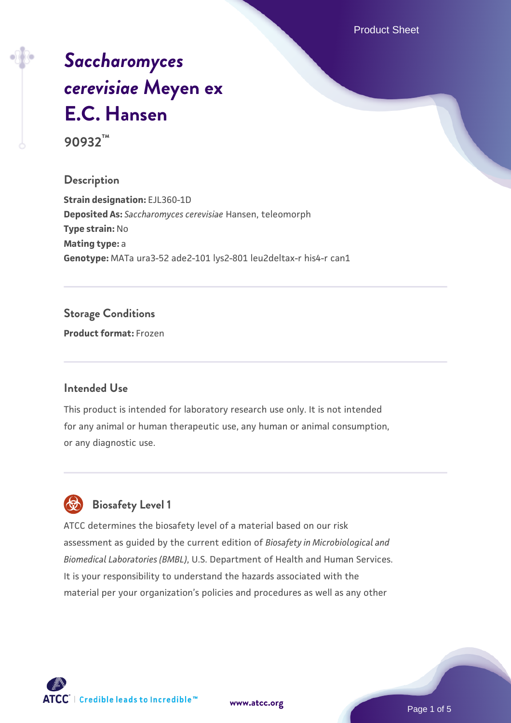Product Sheet

# *[Saccharomyces](https://www.atcc.org/products/90932) [cerevisiae](https://www.atcc.org/products/90932)* **[Meyen ex](https://www.atcc.org/products/90932) [E.C. Hansen](https://www.atcc.org/products/90932)**

**90932™**

#### **Description**

**Strain designation:** EJL360-1D **Deposited As:** *Saccharomyces cerevisiae* Hansen, teleomorph **Type strain:** No **Mating type:** a **Genotype:** MATa ura3-52 ade2-101 lys2-801 leu2deltax-r his4-r can1

#### **Storage Conditions**

**Product format:** Frozen

#### **Intended Use**

This product is intended for laboratory research use only. It is not intended for any animal or human therapeutic use, any human or animal consumption, or any diagnostic use.



### **Biosafety Level 1**

ATCC determines the biosafety level of a material based on our risk assessment as guided by the current edition of *Biosafety in Microbiological and Biomedical Laboratories (BMBL)*, U.S. Department of Health and Human Services. It is your responsibility to understand the hazards associated with the material per your organization's policies and procedures as well as any other

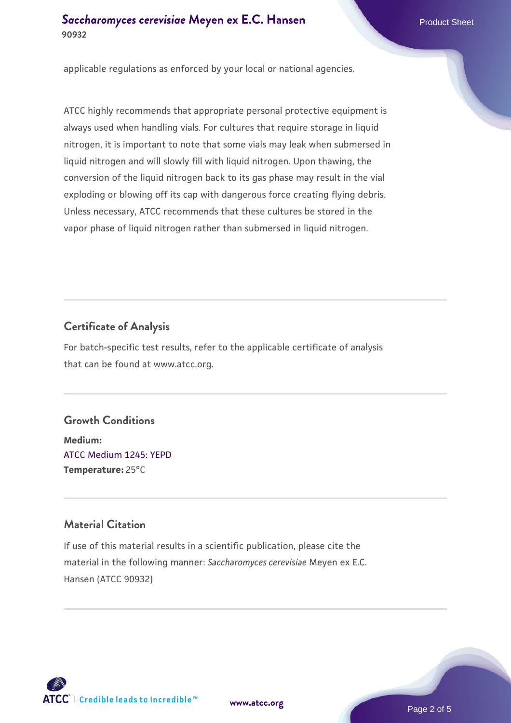#### **[Saccharomyces cerevisiae](https://www.atcc.org/products/90932)** [Meyen ex E.C. Hansen](https://www.atcc.org/products/90932) **90932**

applicable regulations as enforced by your local or national agencies.

ATCC highly recommends that appropriate personal protective equipment is always used when handling vials. For cultures that require storage in liquid nitrogen, it is important to note that some vials may leak when submersed in liquid nitrogen and will slowly fill with liquid nitrogen. Upon thawing, the conversion of the liquid nitrogen back to its gas phase may result in the vial exploding or blowing off its cap with dangerous force creating flying debris. Unless necessary, ATCC recommends that these cultures be stored in the vapor phase of liquid nitrogen rather than submersed in liquid nitrogen.

#### **Certificate of Analysis**

For batch-specific test results, refer to the applicable certificate of analysis that can be found at www.atcc.org.

#### **Growth Conditions**

**Medium:**  [ATCC Medium 1245: YEPD](https://www.atcc.org/-/media/product-assets/documents/microbial-media-formulations/1/2/4/5/atcc-medium-1245.pdf?rev=705ca55d1b6f490a808a965d5c072196) **Temperature:** 25°C

#### **Material Citation**

If use of this material results in a scientific publication, please cite the material in the following manner: *Saccharomyces cerevisiae* Meyen ex E.C. Hansen (ATCC 90932)



**[www.atcc.org](http://www.atcc.org)**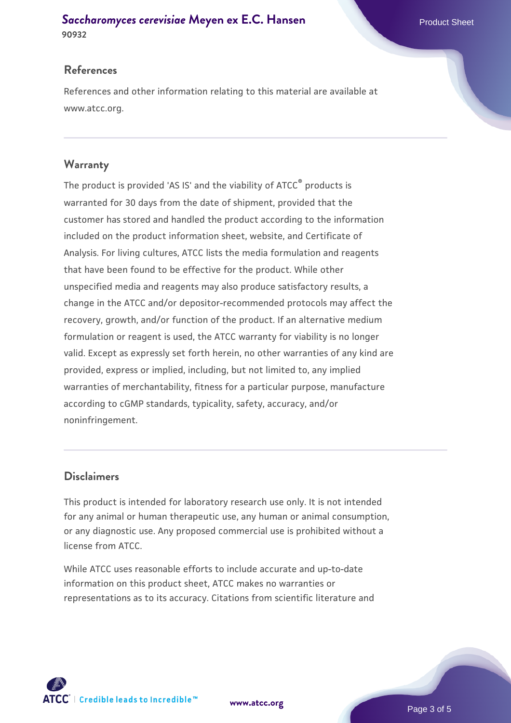#### **[Saccharomyces cerevisiae](https://www.atcc.org/products/90932)** [Meyen ex E.C. Hansen](https://www.atcc.org/products/90932) **90932**

#### **References**

References and other information relating to this material are available at www.atcc.org.

#### **Warranty**

The product is provided 'AS IS' and the viability of ATCC® products is warranted for 30 days from the date of shipment, provided that the customer has stored and handled the product according to the information included on the product information sheet, website, and Certificate of Analysis. For living cultures, ATCC lists the media formulation and reagents that have been found to be effective for the product. While other unspecified media and reagents may also produce satisfactory results, a change in the ATCC and/or depositor-recommended protocols may affect the recovery, growth, and/or function of the product. If an alternative medium formulation or reagent is used, the ATCC warranty for viability is no longer valid. Except as expressly set forth herein, no other warranties of any kind are provided, express or implied, including, but not limited to, any implied warranties of merchantability, fitness for a particular purpose, manufacture according to cGMP standards, typicality, safety, accuracy, and/or noninfringement.

#### **Disclaimers**

This product is intended for laboratory research use only. It is not intended for any animal or human therapeutic use, any human or animal consumption, or any diagnostic use. Any proposed commercial use is prohibited without a license from ATCC.

While ATCC uses reasonable efforts to include accurate and up-to-date information on this product sheet, ATCC makes no warranties or representations as to its accuracy. Citations from scientific literature and



**[www.atcc.org](http://www.atcc.org)**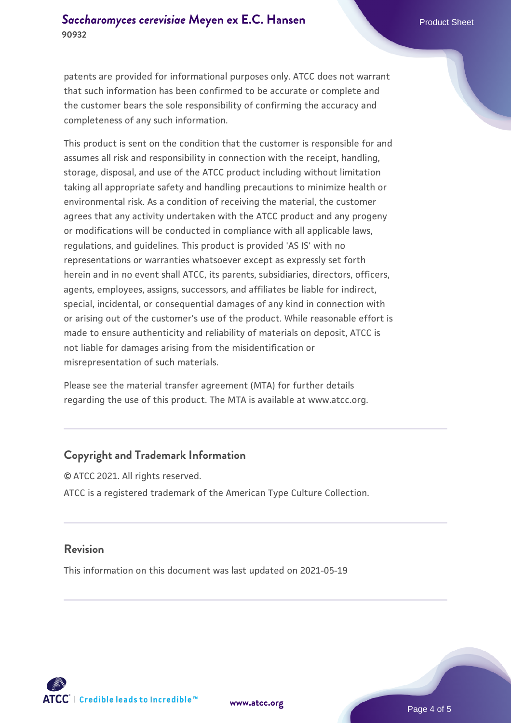patents are provided for informational purposes only. ATCC does not warrant that such information has been confirmed to be accurate or complete and the customer bears the sole responsibility of confirming the accuracy and completeness of any such information.

This product is sent on the condition that the customer is responsible for and assumes all risk and responsibility in connection with the receipt, handling, storage, disposal, and use of the ATCC product including without limitation taking all appropriate safety and handling precautions to minimize health or environmental risk. As a condition of receiving the material, the customer agrees that any activity undertaken with the ATCC product and any progeny or modifications will be conducted in compliance with all applicable laws, regulations, and guidelines. This product is provided 'AS IS' with no representations or warranties whatsoever except as expressly set forth herein and in no event shall ATCC, its parents, subsidiaries, directors, officers, agents, employees, assigns, successors, and affiliates be liable for indirect, special, incidental, or consequential damages of any kind in connection with or arising out of the customer's use of the product. While reasonable effort is made to ensure authenticity and reliability of materials on deposit, ATCC is not liable for damages arising from the misidentification or misrepresentation of such materials.

Please see the material transfer agreement (MTA) for further details regarding the use of this product. The MTA is available at www.atcc.org.

#### **Copyright and Trademark Information**

© ATCC 2021. All rights reserved. ATCC is a registered trademark of the American Type Culture Collection.

#### **Revision**

This information on this document was last updated on 2021-05-19



**[www.atcc.org](http://www.atcc.org)**

Page 4 of 5